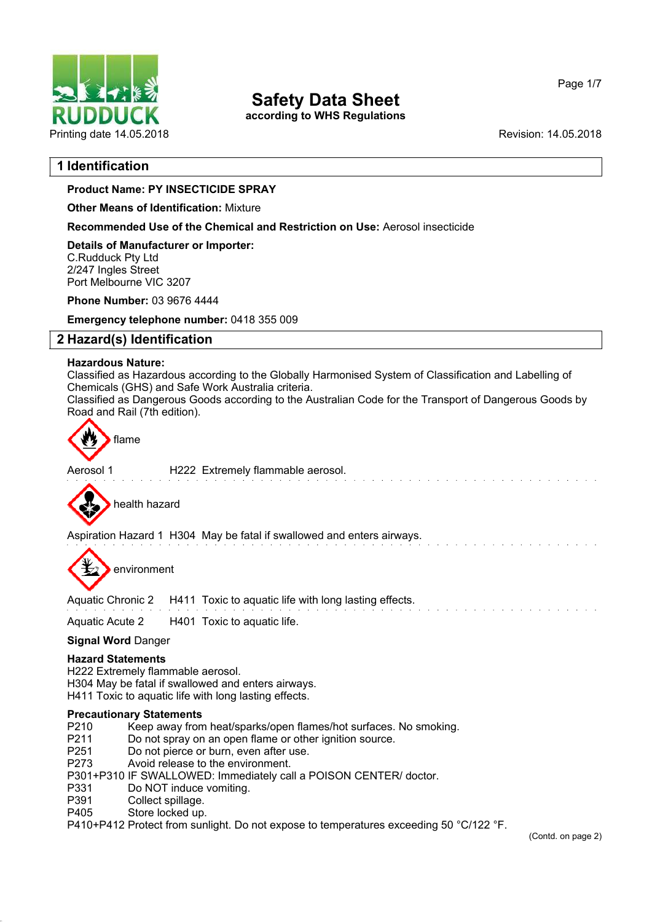

**according to WHS Regulations**

Page 1/7

## **1 Identification**

## **Product Name: PY INSECTICIDE SPRAY**

**Other Means of Identification:** Mixture

**Recommended Use of the Chemical and Restriction on Use:** Aerosol insecticide

**Details of Manufacturer or Importer:** C.Rudduck Pty Ltd 2/247 Ingles Street Port Melbourne VIC 3207

**Phone Number:** 03 9676 4444

**Emergency telephone number:** 0418 355 009

## **2 Hazard(s) Identification**

## **Hazardous Nature:**

Classified as Hazardous according to the Globally Harmonised System of Classification and Labelling of Chemicals (GHS) and Safe Work Australia criteria.

Classified as Dangerous Goods according to the Australian Code for the Transport of Dangerous Goods by Road and Rail (7th edition).



Aerosol 1 **H222** Extremely flammable aerosol.



Aspiration Hazard 1 H304 May be fatal if swallowed and enters airways.



environment

Aquatic Chronic 2 H411 Toxic to aquatic life with long lasting effects.

Aquatic Acute 2 H401 Toxic to aquatic life.

## **Signal Word** Danger

## **Hazard Statements**

H222 Extremely flammable aerosol. H304 May be fatal if swallowed and enters airways. H411 Toxic to aquatic life with long lasting effects.

# **Precautionary Statements**<br>P210 Keep away from

- P210 Keep away from heat/sparks/open flames/hot surfaces. No smoking.<br>P211 Do not spray on an open flame or other ignition source
- P211 Do not spray on an open flame or other ignition source.<br>P251 Do not pierce or burn even after use
- P251 Do not pierce or burn, even after use.<br>P273 Avoid release to the environment
- Avoid release to the environment.
- P301+P310 IF SWALLOWED: Immediately call a POISON CENTER/ doctor.
- P331 Do NOT induce vomiting.<br>P391 Collect spillage
- P391 Collect spillage.<br>P405 Store locked up.
- Store locked up.

P410+P412 Protect from sunlight. Do not expose to temperatures exceeding 50 °C/122 °F.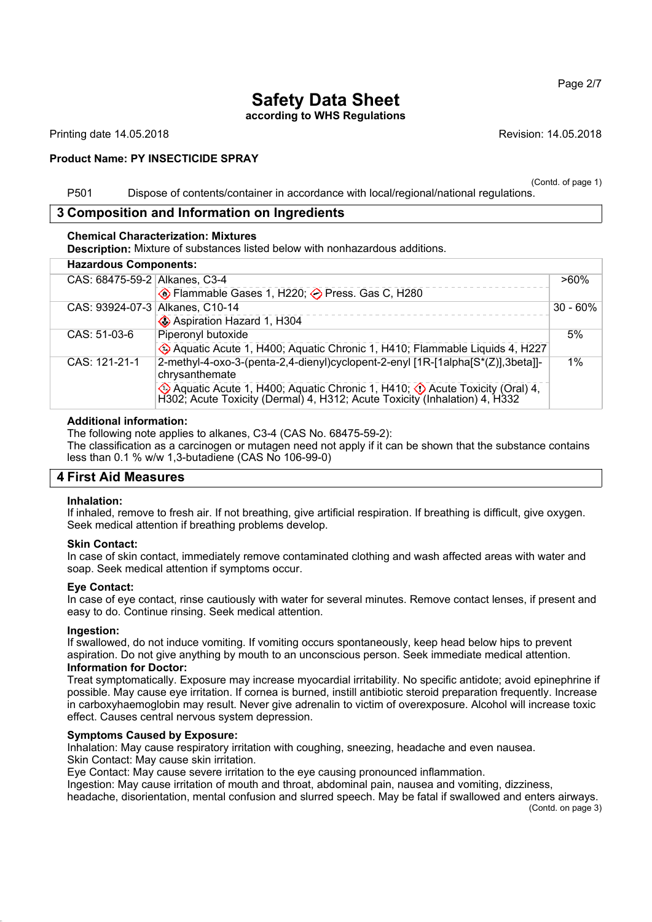## **Safety Data Sheet according to WHS Regulations**

Printing date 14.05.2018 **Revision: 14.05.2018** Revision: 14.05.2018

### **Product Name: PY INSECTICIDE SPRAY**

(Contd. of page 1)

P501 Dispose of contents/container in accordance with local/regional/national regulations.

## **3 Composition and Information on Ingredients**

### **Chemical Characterization: Mixtures**

**Description:** Mixture of substances listed below with nonhazardous additions.

| <b>Hazardous Components:</b> |                                 |                                                                                                                                                                |             |
|------------------------------|---------------------------------|----------------------------------------------------------------------------------------------------------------------------------------------------------------|-------------|
|                              | CAS: 68475-59-2 Alkanes, C3-4   |                                                                                                                                                                | $>60\%$     |
|                              |                                 | ♦ Flammable Gases 1, H220; → Press. Gas C, H280                                                                                                                |             |
|                              | CAS: 93924-07-3 Alkanes, C10-14 |                                                                                                                                                                | $30 - 60\%$ |
|                              |                                 | Aspiration Hazard 1, H304                                                                                                                                      |             |
|                              | CAS: 51-03-6                    | Piperonyl butoxide                                                                                                                                             | 5%          |
|                              |                                 | Aquatic Acute 1, H400; Aquatic Chronic 1, H410; Flammable Liquids 4, H227                                                                                      |             |
|                              | CAS: 121-21-1                   | 2-methyl-4-oxo-3-(penta-2,4-dienyl)cyclopent-2-enyl [1R-[1alpha[S*(Z)],3beta]]-<br>chrysanthemate                                                              | $1\%$       |
|                              |                                 | Aquatic Acute 1, H400; Aquatic Chronic 1, H410; $\bigcirc$ Acute Toxicity (Oral) 4, H302; Acute Toxicity (Dermal) 4, H312; Acute Toxicity (Inhalation) 4, H332 |             |

### **Additional information:**

The following note applies to alkanes, C3-4 (CAS No. 68475-59-2):

The classification as a carcinogen or mutagen need not apply if it can be shown that the substance contains less than 0.1 % w/w 1,3-butadiene (CAS No 106-99-0)

## **4 First Aid Measures**

### **Inhalation:**

If inhaled, remove to fresh air. If not breathing, give artificial respiration. If breathing is difficult, give oxygen. Seek medical attention if breathing problems develop.

### **Skin Contact:**

In case of skin contact, immediately remove contaminated clothing and wash affected areas with water and soap. Seek medical attention if symptoms occur.

### **Eye Contact:**

In case of eye contact, rinse cautiously with water for several minutes. Remove contact lenses, if present and easy to do. Continue rinsing. Seek medical attention.

## **Ingestion:**

If swallowed, do not induce vomiting. If vomiting occurs spontaneously, keep head below hips to prevent aspiration. Do not give anything by mouth to an unconscious person. Seek immediate medical attention. **Information for Doctor:**

Treat symptomatically. Exposure may increase myocardial irritability. No specific antidote; avoid epinephrine if possible. May cause eye irritation. If cornea is burned, instill antibiotic steroid preparation frequently. Increase in carboxyhaemoglobin may result. Never give adrenalin to victim of overexposure. Alcohol will increase toxic effect. Causes central nervous system depression.

### **Symptoms Caused by Exposure:**

Inhalation: May cause respiratory irritation with coughing, sneezing, headache and even nausea. Skin Contact: May cause skin irritation.

Eye Contact: May cause severe irritation to the eye causing pronounced inflammation.

Ingestion: May cause irritation of mouth and throat, abdominal pain, nausea and vomiting, dizziness,

headache, disorientation, mental confusion and slurred speech. May be fatal if swallowed and enters airways. (Contd. on page 3)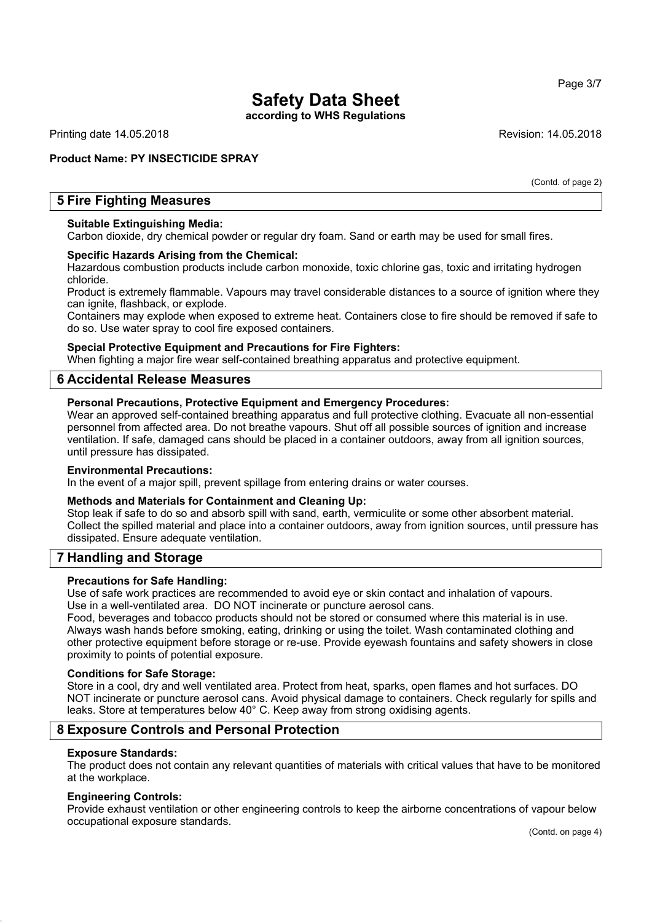**according to WHS Regulations**

Printing date 14.05.2018 **Revision: 14.05.2018** Revision: 14.05.2018

## **Product Name: PY INSECTICIDE SPRAY**

(Contd. of page 2)

## **5 Fire Fighting Measures**

#### **Suitable Extinguishing Media:**

Carbon dioxide, dry chemical powder or regular dry foam. Sand or earth may be used for small fires.

#### **Specific Hazards Arising from the Chemical:**

Hazardous combustion products include carbon monoxide, toxic chlorine gas, toxic and irritating hydrogen chloride.

Product is extremely flammable. Vapours may travel considerable distances to a source of ignition where they can ignite, flashback, or explode.

Containers may explode when exposed to extreme heat. Containers close to fire should be removed if safe to do so. Use water spray to cool fire exposed containers.

#### **Special Protective Equipment and Precautions for Fire Fighters:**

When fighting a major fire wear self-contained breathing apparatus and protective equipment.

## **6 Accidental Release Measures**

### **Personal Precautions, Protective Equipment and Emergency Procedures:**

Wear an approved self-contained breathing apparatus and full protective clothing. Evacuate all non-essential personnel from affected area. Do not breathe vapours. Shut off all possible sources of ignition and increase ventilation. If safe, damaged cans should be placed in a container outdoors, away from all ignition sources, until pressure has dissipated.

#### **Environmental Precautions:**

In the event of a major spill, prevent spillage from entering drains or water courses.

### **Methods and Materials for Containment and Cleaning Up:**

Stop leak if safe to do so and absorb spill with sand, earth, vermiculite or some other absorbent material. Collect the spilled material and place into a container outdoors, away from ignition sources, until pressure has dissipated. Ensure adequate ventilation.

## **7 Handling and Storage**

### **Precautions for Safe Handling:**

Use of safe work practices are recommended to avoid eye or skin contact and inhalation of vapours. Use in a well-ventilated area. DO NOT incinerate or puncture aerosol cans.

Food, beverages and tobacco products should not be stored or consumed where this material is in use. Always wash hands before smoking, eating, drinking or using the toilet. Wash contaminated clothing and other protective equipment before storage or re-use. Provide eyewash fountains and safety showers in close proximity to points of potential exposure.

#### **Conditions for Safe Storage:**

Store in a cool, dry and well ventilated area. Protect from heat, sparks, open flames and hot surfaces. DO NOT incinerate or puncture aerosol cans. Avoid physical damage to containers. Check regularly for spills and leaks. Store at temperatures below 40° C. Keep away from strong oxidising agents.

## **8 Exposure Controls and Personal Protection**

#### **Exposure Standards:**

The product does not contain any relevant quantities of materials with critical values that have to be monitored at the workplace.

### **Engineering Controls:**

Provide exhaust ventilation or other engineering controls to keep the airborne concentrations of vapour below occupational exposure standards.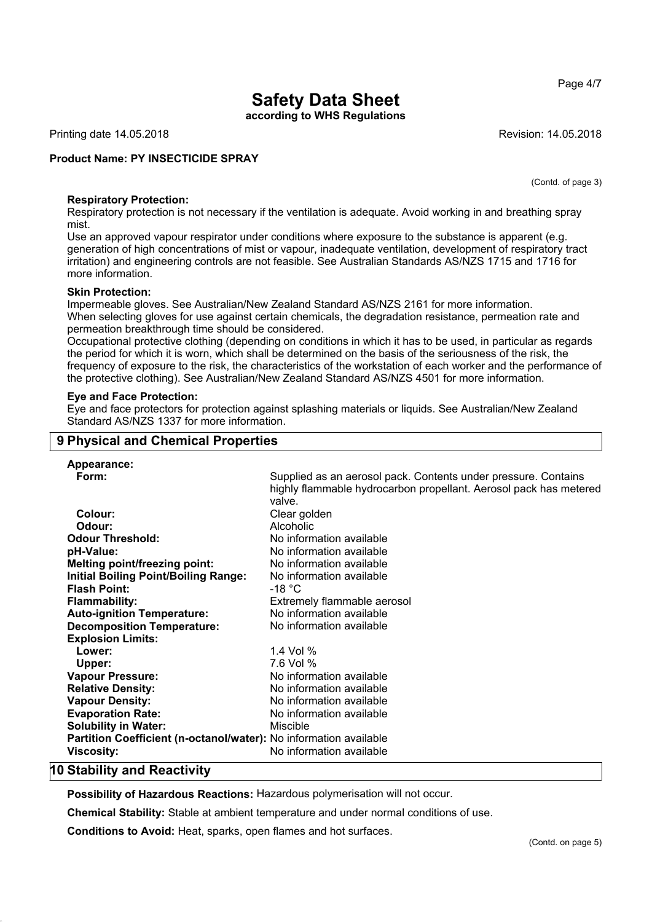Page 4/7

## **Safety Data Sheet**

**according to WHS Regulations**

Printing date 14.05.2018 **Revision: 14.05.2018** Revision: 14.05.2018

## **Product Name: PY INSECTICIDE SPRAY**

(Contd. of page 3)

**Respiratory Protection:**

Respiratory protection is not necessary if the ventilation is adequate. Avoid working in and breathing spray mist.

Use an approved vapour respirator under conditions where exposure to the substance is apparent (e.g. generation of high concentrations of mist or vapour, inadequate ventilation, development of respiratory tract irritation) and engineering controls are not feasible. See Australian Standards AS/NZS 1715 and 1716 for more information.

#### **Skin Protection:**

Impermeable gloves. See Australian/New Zealand Standard AS/NZS 2161 for more information. When selecting gloves for use against certain chemicals, the degradation resistance, permeation rate and permeation breakthrough time should be considered.

Occupational protective clothing (depending on conditions in which it has to be used, in particular as regards the period for which it is worn, which shall be determined on the basis of the seriousness of the risk, the frequency of exposure to the risk, the characteristics of the workstation of each worker and the performance of the protective clothing). See Australian/New Zealand Standard AS/NZS 4501 for more information.

#### **Eye and Face Protection:**

Eye and face protectors for protection against splashing materials or liquids. See Australian/New Zealand Standard AS/NZS 1337 for more information.

## **9 Physical and Chemical Properties**

| Appearance:                                                       |                                                                   |
|-------------------------------------------------------------------|-------------------------------------------------------------------|
| Form:                                                             | Supplied as an aerosol pack. Contents under pressure. Contains    |
|                                                                   | highly flammable hydrocarbon propellant. Aerosol pack has metered |
|                                                                   | valve.                                                            |
| Colour:                                                           | Clear golden                                                      |
| Odour:                                                            | Alcoholic                                                         |
| <b>Odour Threshold:</b>                                           | No information available                                          |
| pH-Value:                                                         | No information available                                          |
| <b>Melting point/freezing point:</b>                              | No information available                                          |
| <b>Initial Boiling Point/Boiling Range:</b>                       | No information available                                          |
| <b>Flash Point:</b>                                               | -18 °C                                                            |
| <b>Flammability:</b>                                              | Extremely flammable aerosol                                       |
| <b>Auto-ignition Temperature:</b>                                 | No information available                                          |
| <b>Decomposition Temperature:</b>                                 | No information available                                          |
| <b>Explosion Limits:</b>                                          |                                                                   |
| Lower:                                                            | 1.4 Vol %                                                         |
| Upper:                                                            | 7.6 Vol %                                                         |
| <b>Vapour Pressure:</b>                                           | No information available                                          |
| <b>Relative Density:</b>                                          | No information available                                          |
| <b>Vapour Density:</b>                                            | No information available                                          |
| <b>Evaporation Rate:</b>                                          | No information available                                          |
| <b>Solubility in Water:</b>                                       | Miscible                                                          |
| Partition Coefficient (n-octanol/water): No information available |                                                                   |
| <b>Viscosity:</b>                                                 | No information available                                          |
|                                                                   |                                                                   |

## **10 Stability and Reactivity**

**Possibility of Hazardous Reactions:** Hazardous polymerisation will not occur.

**Chemical Stability:** Stable at ambient temperature and under normal conditions of use.

**Conditions to Avoid:** Heat, sparks, open flames and hot surfaces.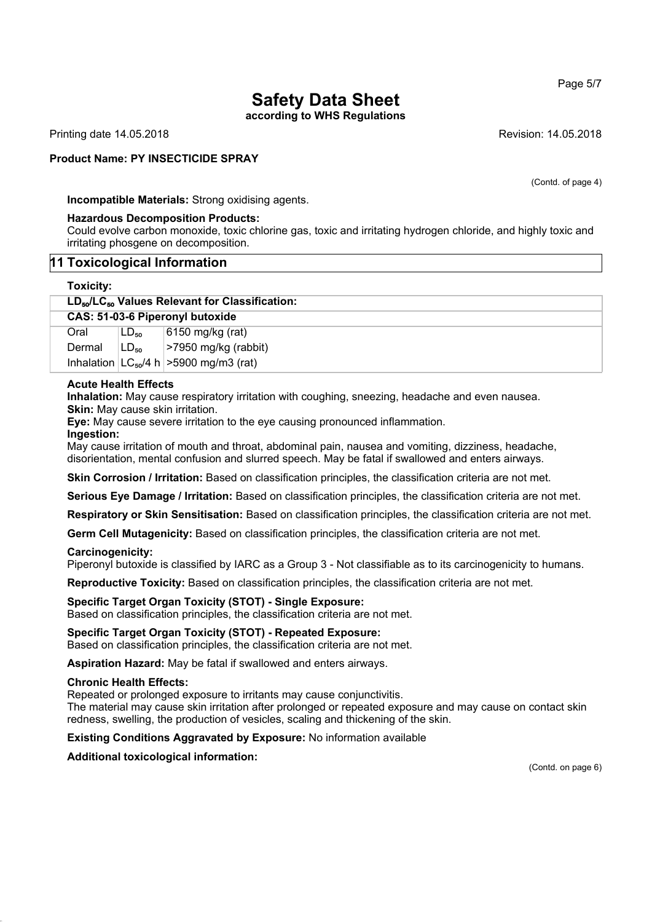**according to WHS Regulations**

Printing date 14.05.2018 **Revision: 14.05.2018** Revision: 14.05.2018

## **Product Name: PY INSECTICIDE SPRAY**

(Contd. of page 4)

**Incompatible Materials:** Strong oxidising agents.

### **Hazardous Decomposition Products:**

Could evolve carbon monoxide, toxic chlorine gas, toxic and irritating hydrogen chloride, and highly toxic and irritating phosgene on decomposition.

## **11 Toxicological Information**

### **Toxicity:**

| LD <sub>50</sub> /LC <sub>50</sub> Values Relevant for Classification: |  |  |
|------------------------------------------------------------------------|--|--|
|------------------------------------------------------------------------|--|--|

| CAS: 51-03-6 Piperonyl butoxide |                   |                                               |  |  |
|---------------------------------|-------------------|-----------------------------------------------|--|--|
| Oral                            | $LD_{50}$         | 6150 mg/kg (rat)                              |  |  |
| Dermal                          | ∣LD <sub>50</sub> | >7950 mg/kg (rabbit)                          |  |  |
|                                 |                   | Inhalation $ LC_{50}/4 h $ > 5900 mg/m3 (rat) |  |  |

### **Acute Health Effects**

**Inhalation:** May cause respiratory irritation with coughing, sneezing, headache and even nausea.

**Skin:** May cause skin irritation.

**Eye:** May cause severe irritation to the eye causing pronounced inflammation.

#### **Ingestion:**

May cause irritation of mouth and throat, abdominal pain, nausea and vomiting, dizziness, headache, disorientation, mental confusion and slurred speech. May be fatal if swallowed and enters airways.

**Skin Corrosion / Irritation:** Based on classification principles, the classification criteria are not met.

**Serious Eye Damage / Irritation:** Based on classification principles, the classification criteria are not met.

**Respiratory or Skin Sensitisation:** Based on classification principles, the classification criteria are not met.

**Germ Cell Mutagenicity:** Based on classification principles, the classification criteria are not met.

### **Carcinogenicity:**

Piperonyl butoxide is classified by IARC as a Group 3 - Not classifiable as to its carcinogenicity to humans.

**Reproductive Toxicity:** Based on classification principles, the classification criteria are not met.

**Specific Target Organ Toxicity (STOT) - Single Exposure:** Based on classification principles, the classification criteria are not met.

**Specific Target Organ Toxicity (STOT) - Repeated Exposure:**

Based on classification principles, the classification criteria are not met.

**Aspiration Hazard:** May be fatal if swallowed and enters airways.

### **Chronic Health Effects:**

Repeated or prolonged exposure to irritants may cause conjunctivitis.

The material may cause skin irritation after prolonged or repeated exposure and may cause on contact skin redness, swelling, the production of vesicles, scaling and thickening of the skin.

**Existing Conditions Aggravated by Exposure:** No information available

**Additional toxicological information:**

(Contd. on page 6)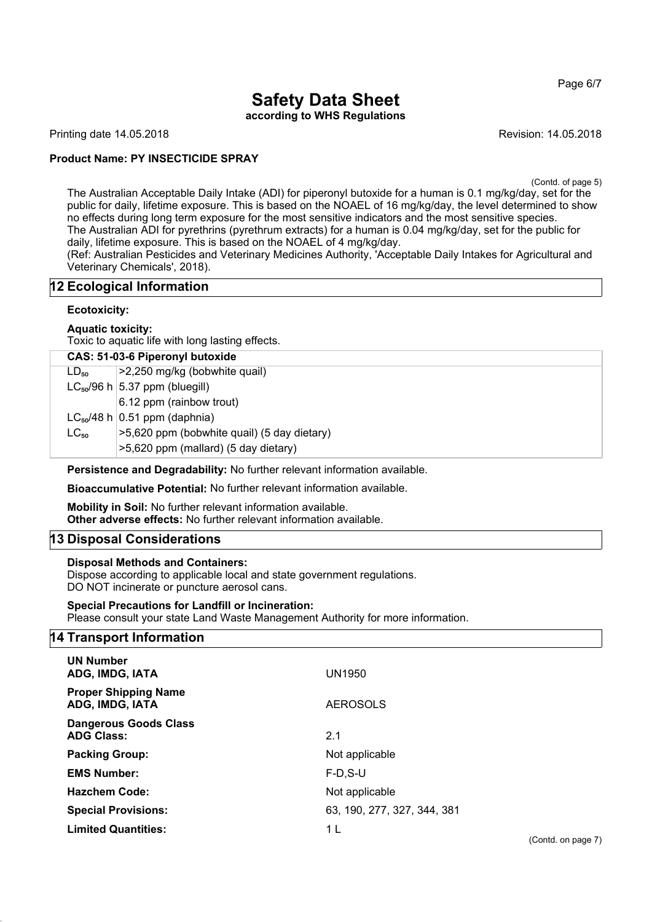Page 6/7

## **Safety Data Sheet according to WHS Regulations**

Printing date 14.05.2018 **Revision: 14.05.2018** Revision: 14.05.2018

## **Product Name: PY INSECTICIDE SPRAY**

(Contd. of page 5)

The Australian Acceptable Daily Intake (ADI) for piperonyl butoxide for a human is 0.1 mg/kg/day, set for the public for daily, lifetime exposure. This is based on the NOAEL of 16 mg/kg/day, the level determined to show no effects during long term exposure for the most sensitive indicators and the most sensitive species. The Australian ADI for pyrethrins (pyrethrum extracts) for a human is 0.04 mg/kg/day, set for the public for daily, lifetime exposure. This is based on the NOAEL of 4 mg/kg/day.

(Ref: Australian Pesticides and Veterinary Medicines Authority, 'Acceptable Daily Intakes for Agricultural and Veterinary Chemicals', 2018).

## **12 Ecological Information**

## **Ecotoxicity:**

### **Aquatic toxicity:**

Toxic to aquatic life with long lasting effects.

|           | CAS: 51-03-6 Piperonyl butoxide             |  |
|-----------|---------------------------------------------|--|
| $LD_{50}$ | >2,250 mg/kg (bobwhite quail)               |  |
|           | $LC_{50}/96$ h $ 5.37$ ppm (bluegill)       |  |
|           | 6.12 ppm (rainbow trout)                    |  |
|           | $LC_{50}/48$ h 0.51 ppm (daphnia)           |  |
| $LC_{50}$ | >5,620 ppm (bobwhite quail) (5 day dietary) |  |
|           | >5,620 ppm (mallard) (5 day dietary)        |  |

**Persistence and Degradability:** No further relevant information available.

**Bioaccumulative Potential:** No further relevant information available.

**Mobility in Soil:** No further relevant information available. **Other adverse effects:** No further relevant information available.

## **13 Disposal Considerations**

### **Disposal Methods and Containers:**

Dispose according to applicable local and state government regulations. DO NOT incinerate or puncture aerosol cans.

## **Special Precautions for Landfill or Incineration:**

Please consult your state Land Waste Management Authority for more information.

## **14 Transport Information**

| <b>UN Number</b><br>ADG, IMDG, IATA               | <b>UN1950</b>               |
|---------------------------------------------------|-----------------------------|
| <b>Proper Shipping Name</b><br>ADG, IMDG, IATA    | <b>AEROSOLS</b>             |
| <b>Dangerous Goods Class</b><br><b>ADG Class:</b> | 2.1                         |
| <b>Packing Group:</b>                             | Not applicable              |
| <b>EMS Number:</b>                                | $F-D.S-U$                   |
| <b>Hazchem Code:</b>                              | Not applicable              |
| <b>Special Provisions:</b>                        | 63, 190, 277, 327, 344, 381 |
| <b>Limited Quantities:</b>                        | 1 L                         |

(Contd. on page 7)